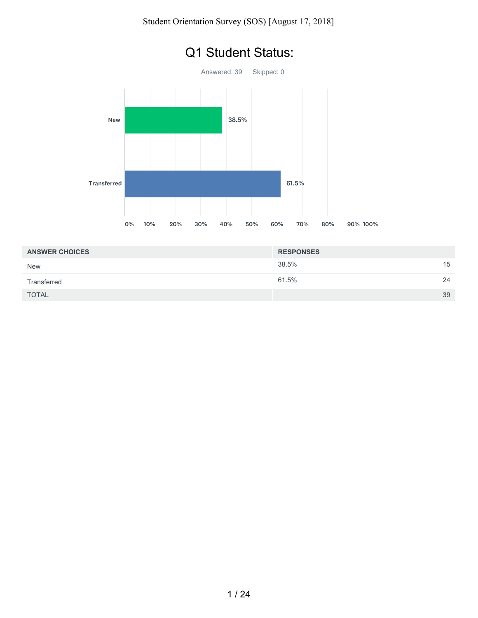

# Q1 Student Status:

| <b>ANSWER CHOICES</b> | <b>RESPONSES</b> |    |
|-----------------------|------------------|----|
| <b>New</b>            | 38.5%            | 15 |
| Transferred           | 61.5%            | 24 |
| <b>TOTAL</b>          |                  | 39 |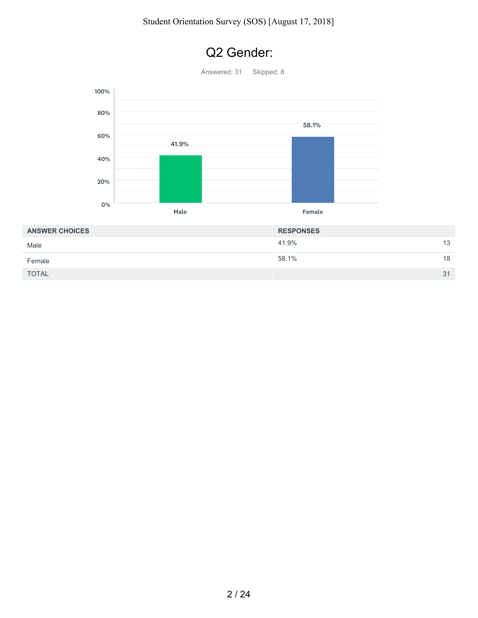

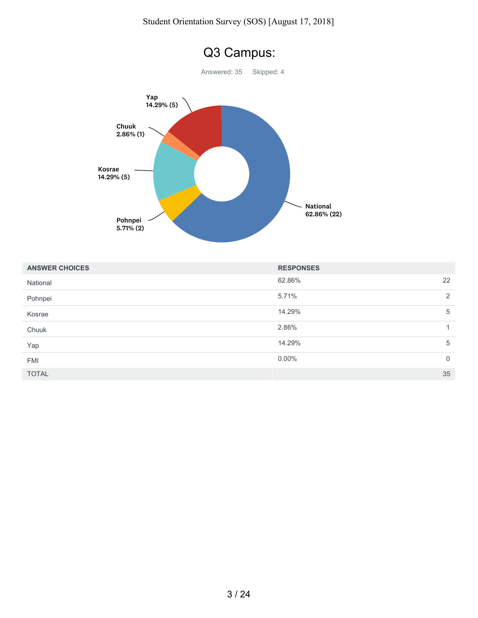

| <b>ANSWER CHOICES</b> | <b>RESPONSES</b> |             |
|-----------------------|------------------|-------------|
| National              | 62.86%           | 22          |
| Pohnpei               | 5.71%            | 2           |
| Kosrae                | 14.29%           | 5           |
| Chuuk                 | 2.86%            |             |
| Yap                   | 14.29%           | 5           |
| <b>FMI</b>            | $0.00\%$         | $\mathbf 0$ |
| <b>TOTAL</b>          |                  | 35          |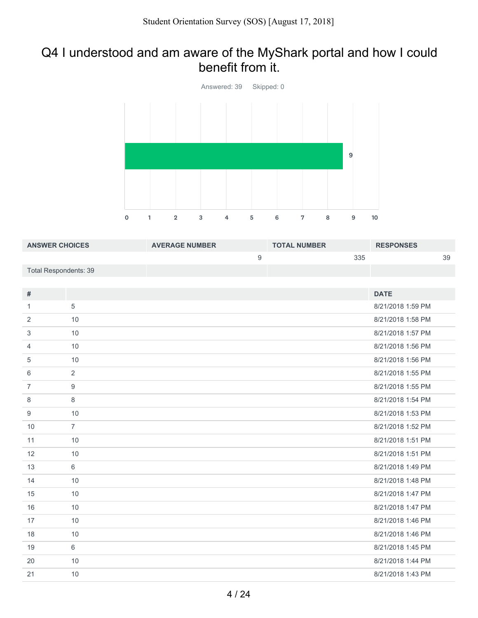## Q4 I understood and am aware of the MyShark portal and how I could benefit from it.



| <b>ANSWER CHOICES</b>        |                | <b>AVERAGE NUMBER</b> |                  | <b>TOTAL NUMBER</b> |     | <b>RESPONSES</b>  |    |
|------------------------------|----------------|-----------------------|------------------|---------------------|-----|-------------------|----|
|                              |                |                       | $\boldsymbol{9}$ |                     | 335 |                   | 39 |
| <b>Total Respondents: 39</b> |                |                       |                  |                     |     |                   |    |
|                              |                |                       |                  |                     |     |                   |    |
| $\#$                         |                |                       |                  |                     |     | <b>DATE</b>       |    |
| $\mathbf{1}$                 | 5              |                       |                  |                     |     | 8/21/2018 1:59 PM |    |
| 2                            | 10             |                       |                  |                     |     | 8/21/2018 1:58 PM |    |
| 3                            | 10             |                       |                  |                     |     | 8/21/2018 1:57 PM |    |
| $\overline{4}$               | 10             |                       |                  |                     |     | 8/21/2018 1:56 PM |    |
| 5                            | 10             |                       |                  |                     |     | 8/21/2018 1:56 PM |    |
| 6                            | $\overline{2}$ |                       |                  |                     |     | 8/21/2018 1:55 PM |    |
| $\overline{7}$               | 9              |                       |                  |                     |     | 8/21/2018 1:55 PM |    |
| 8                            | $\,8\,$        |                       |                  |                     |     | 8/21/2018 1:54 PM |    |
| 9                            | 10             |                       |                  |                     |     | 8/21/2018 1:53 PM |    |
| 10                           | $\overline{7}$ |                       |                  |                     |     | 8/21/2018 1:52 PM |    |
| 11                           | 10             |                       |                  |                     |     | 8/21/2018 1:51 PM |    |
| 12                           | 10             |                       |                  |                     |     | 8/21/2018 1:51 PM |    |
| 13                           | $6\,$          |                       |                  |                     |     | 8/21/2018 1:49 PM |    |
| 14                           | 10             |                       |                  |                     |     | 8/21/2018 1:48 PM |    |
| 15                           | 10             |                       |                  |                     |     | 8/21/2018 1:47 PM |    |
| 16                           | 10             |                       |                  |                     |     | 8/21/2018 1:47 PM |    |
| 17                           | 10             |                       |                  |                     |     | 8/21/2018 1:46 PM |    |
| 18                           | 10             |                       |                  |                     |     | 8/21/2018 1:46 PM |    |
| 19                           | $6\phantom{a}$ |                       |                  |                     |     | 8/21/2018 1:45 PM |    |
| 20                           | 10             |                       |                  |                     |     | 8/21/2018 1:44 PM |    |
| 21                           | 10             |                       |                  |                     |     | 8/21/2018 1:43 PM |    |
|                              |                |                       |                  |                     |     |                   |    |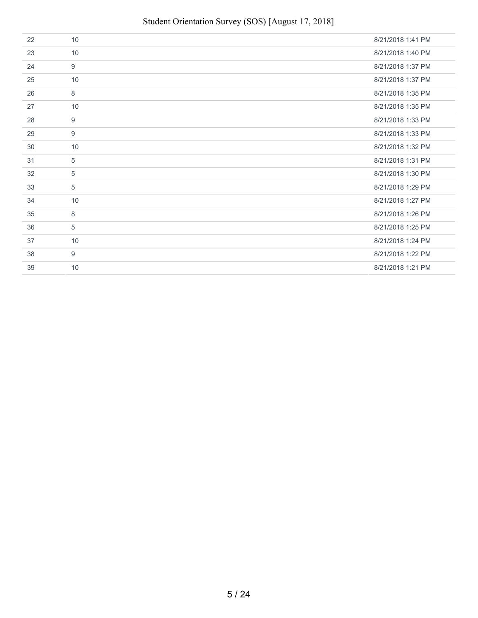## Student Orientation Survey (SOS) [August 17, 2018]

| 22 | 10 | 8/21/2018 1:41 PM |
|----|----|-------------------|
| 23 | 10 | 8/21/2018 1:40 PM |
| 24 | 9  | 8/21/2018 1:37 PM |
| 25 | 10 | 8/21/2018 1:37 PM |
| 26 | 8  | 8/21/2018 1:35 PM |
| 27 | 10 | 8/21/2018 1:35 PM |
| 28 | 9  | 8/21/2018 1:33 PM |
| 29 | 9  | 8/21/2018 1:33 PM |
| 30 | 10 | 8/21/2018 1:32 PM |
| 31 | 5  | 8/21/2018 1:31 PM |
| 32 | 5  | 8/21/2018 1:30 PM |
| 33 | 5  | 8/21/2018 1:29 PM |
| 34 | 10 | 8/21/2018 1:27 PM |
| 35 | 8  | 8/21/2018 1:26 PM |
| 36 | 5  | 8/21/2018 1:25 PM |
| 37 | 10 | 8/21/2018 1:24 PM |
| 38 | 9  | 8/21/2018 1:22 PM |
| 39 | 10 | 8/21/2018 1:21 PM |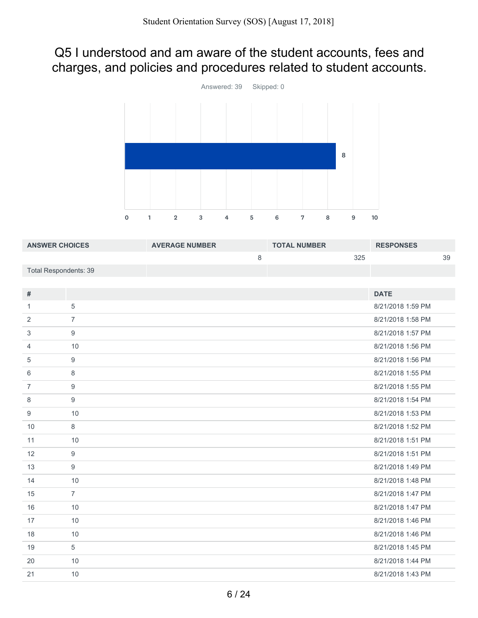## Q5 I understood and am aware of the student accounts, fees and charges, and policies and procedures related to student accounts.



| <b>ANSWER CHOICES</b>        |                  | <b>AVERAGE NUMBER</b> |         | <b>TOTAL NUMBER</b> |     | <b>RESPONSES</b>  |    |
|------------------------------|------------------|-----------------------|---------|---------------------|-----|-------------------|----|
|                              |                  |                       | $\,8\,$ |                     | 325 |                   | 39 |
| <b>Total Respondents: 39</b> |                  |                       |         |                     |     |                   |    |
|                              |                  |                       |         |                     |     |                   |    |
| #                            |                  |                       |         |                     |     | <b>DATE</b>       |    |
| 1                            | 5                |                       |         |                     |     | 8/21/2018 1:59 PM |    |
| $\overline{2}$               | $\overline{7}$   |                       |         |                     |     | 8/21/2018 1:58 PM |    |
| 3                            | $9\,$            |                       |         |                     |     | 8/21/2018 1:57 PM |    |
| 4                            | 10               |                       |         |                     |     | 8/21/2018 1:56 PM |    |
| 5                            | $9\,$            |                       |         |                     |     | 8/21/2018 1:56 PM |    |
| 6                            | 8                |                       |         |                     |     | 8/21/2018 1:55 PM |    |
| 7                            | $\boldsymbol{9}$ |                       |         |                     |     | 8/21/2018 1:55 PM |    |
| 8                            | 9                |                       |         |                     |     | 8/21/2018 1:54 PM |    |
| 9                            | 10               |                       |         |                     |     | 8/21/2018 1:53 PM |    |
| 10                           | 8                |                       |         |                     |     | 8/21/2018 1:52 PM |    |
| 11                           | 10               |                       |         |                     |     | 8/21/2018 1:51 PM |    |
| 12                           | 9                |                       |         |                     |     | 8/21/2018 1:51 PM |    |
| 13                           | 9                |                       |         |                     |     | 8/21/2018 1:49 PM |    |
| 14                           | 10               |                       |         |                     |     | 8/21/2018 1:48 PM |    |
| 15                           | $\overline{7}$   |                       |         |                     |     | 8/21/2018 1:47 PM |    |
| 16                           | 10               |                       |         |                     |     | 8/21/2018 1:47 PM |    |
| 17                           | 10               |                       |         |                     |     | 8/21/2018 1:46 PM |    |
| 18                           | 10               |                       |         |                     |     | 8/21/2018 1:46 PM |    |
| 19                           | 5                |                       |         |                     |     | 8/21/2018 1:45 PM |    |
| 20                           | 10               |                       |         |                     |     | 8/21/2018 1:44 PM |    |
| 21                           | 10               |                       |         |                     |     | 8/21/2018 1:43 PM |    |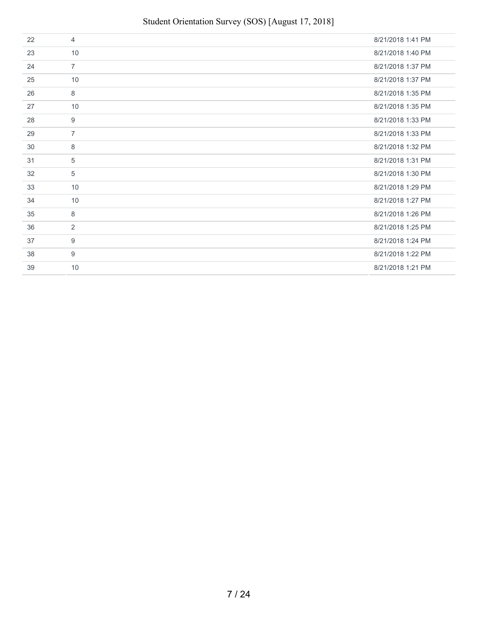| 22 | $\overline{4}$ | 8/21/2018 1:41 PM |
|----|----------------|-------------------|
| 23 | 10             | 8/21/2018 1:40 PM |
| 24 | $\overline{7}$ | 8/21/2018 1:37 PM |
| 25 | 10             | 8/21/2018 1:37 PM |
| 26 | 8              | 8/21/2018 1:35 PM |
| 27 | 10             | 8/21/2018 1:35 PM |
| 28 | 9              | 8/21/2018 1:33 PM |
| 29 | $\overline{7}$ | 8/21/2018 1:33 PM |
| 30 | 8              | 8/21/2018 1:32 PM |
| 31 | 5              | 8/21/2018 1:31 PM |
| 32 | 5              | 8/21/2018 1:30 PM |
| 33 | 10             | 8/21/2018 1:29 PM |
| 34 | 10             | 8/21/2018 1:27 PM |
| 35 | 8              | 8/21/2018 1:26 PM |
| 36 | 2              | 8/21/2018 1:25 PM |
| 37 | 9              | 8/21/2018 1:24 PM |
| 38 | 9              | 8/21/2018 1:22 PM |
| 39 | 10             | 8/21/2018 1:21 PM |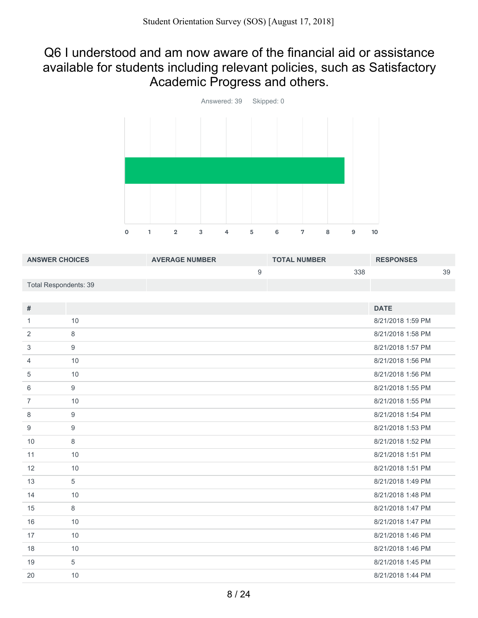#### Q6 I understood and am now aware of the financial aid or assistance available for students including relevant policies, such as Satisfactory Academic Progress and others.



| <b>ANSWER CHOICES</b> |                  | <b>AVERAGE NUMBER</b> |                  | <b>TOTAL NUMBER</b> |     | <b>RESPONSES</b>  |    |
|-----------------------|------------------|-----------------------|------------------|---------------------|-----|-------------------|----|
|                       |                  |                       | $\boldsymbol{9}$ |                     | 338 |                   | 39 |
| Total Respondents: 39 |                  |                       |                  |                     |     |                   |    |
|                       |                  |                       |                  |                     |     |                   |    |
| #                     |                  |                       |                  |                     |     | <b>DATE</b>       |    |
| $\mathbf{1}$          | 10               |                       |                  |                     |     | 8/21/2018 1:59 PM |    |
| 2                     | $\,8\,$          |                       |                  |                     |     | 8/21/2018 1:58 PM |    |
| 3                     | $\boldsymbol{9}$ |                       |                  |                     |     | 8/21/2018 1:57 PM |    |
| $\overline{4}$        | 10               |                       |                  |                     |     | 8/21/2018 1:56 PM |    |
| 5                     | 10               |                       |                  |                     |     | 8/21/2018 1:56 PM |    |
| 6                     | $\boldsymbol{9}$ |                       |                  |                     |     | 8/21/2018 1:55 PM |    |
| $\overline{7}$        | 10               |                       |                  |                     |     | 8/21/2018 1:55 PM |    |
| 8                     | $\boldsymbol{9}$ |                       |                  |                     |     | 8/21/2018 1:54 PM |    |
| $\boldsymbol{9}$      | $\boldsymbol{9}$ |                       |                  |                     |     | 8/21/2018 1:53 PM |    |
| 10                    | $\,8\,$          |                       |                  |                     |     | 8/21/2018 1:52 PM |    |
| 11                    | 10               |                       |                  |                     |     | 8/21/2018 1:51 PM |    |
| 12                    | 10               |                       |                  |                     |     | 8/21/2018 1:51 PM |    |
| 13                    | $\overline{5}$   |                       |                  |                     |     | 8/21/2018 1:49 PM |    |
| 14                    | 10               |                       |                  |                     |     | 8/21/2018 1:48 PM |    |
| 15                    | 8                |                       |                  |                     |     | 8/21/2018 1:47 PM |    |
| 16                    | 10               |                       |                  |                     |     | 8/21/2018 1:47 PM |    |
| 17                    | 10               |                       |                  |                     |     | 8/21/2018 1:46 PM |    |
| 18                    | 10               |                       |                  |                     |     | 8/21/2018 1:46 PM |    |
| 19                    | $\overline{5}$   |                       |                  |                     |     | 8/21/2018 1:45 PM |    |
| 20                    | 10               |                       |                  |                     |     | 8/21/2018 1:44 PM |    |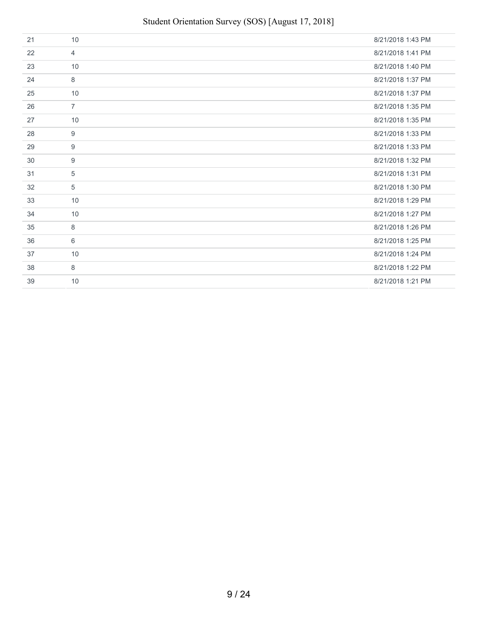## Student Orientation Survey (SOS) [August 17, 2018]

| 21 | 10             | 8/21/2018 1:43 PM |
|----|----------------|-------------------|
| 22 | $\overline{4}$ | 8/21/2018 1:41 PM |
| 23 | 10             | 8/21/2018 1:40 PM |
| 24 | 8              | 8/21/2018 1:37 PM |
| 25 | 10             | 8/21/2018 1:37 PM |
| 26 | $\overline{7}$ | 8/21/2018 1:35 PM |
| 27 | 10             | 8/21/2018 1:35 PM |
| 28 | 9              | 8/21/2018 1:33 PM |
| 29 | 9              | 8/21/2018 1:33 PM |
| 30 | 9              | 8/21/2018 1:32 PM |
| 31 | 5              | 8/21/2018 1:31 PM |
| 32 | 5              | 8/21/2018 1:30 PM |
| 33 | 10             | 8/21/2018 1:29 PM |
| 34 | 10             | 8/21/2018 1:27 PM |
| 35 | 8              | 8/21/2018 1:26 PM |
| 36 | 6              | 8/21/2018 1:25 PM |
| 37 | 10             | 8/21/2018 1:24 PM |
| 38 | 8              | 8/21/2018 1:22 PM |
| 39 | 10             | 8/21/2018 1:21 PM |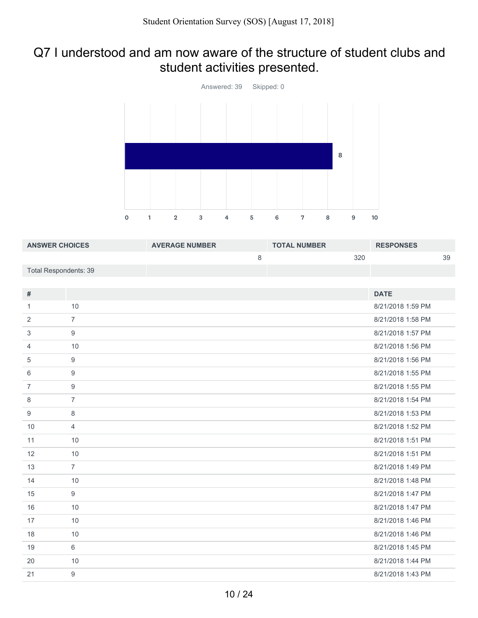### Q7 I understood and am now aware of the structure of student clubs and student activities presented.



| <b>ANSWER CHOICES</b> |                  | <b>AVERAGE NUMBER</b> |         | <b>TOTAL NUMBER</b> |     | <b>RESPONSES</b>  |    |
|-----------------------|------------------|-----------------------|---------|---------------------|-----|-------------------|----|
|                       |                  |                       | $\,8\,$ |                     | 320 |                   | 39 |
| Total Respondents: 39 |                  |                       |         |                     |     |                   |    |
|                       |                  |                       |         |                     |     |                   |    |
| $\#$                  |                  |                       |         |                     |     | <b>DATE</b>       |    |
| $\mathbf{1}$          | 10               |                       |         |                     |     | 8/21/2018 1:59 PM |    |
| 2                     | $\overline{7}$   |                       |         |                     |     | 8/21/2018 1:58 PM |    |
| 3                     | $9\,$            |                       |         |                     |     | 8/21/2018 1:57 PM |    |
| $\overline{4}$        | 10               |                       |         |                     |     | 8/21/2018 1:56 PM |    |
| 5                     | 9                |                       |         |                     |     | 8/21/2018 1:56 PM |    |
| 6                     | $\boldsymbol{9}$ |                       |         |                     |     | 8/21/2018 1:55 PM |    |
| $\overline{7}$        | $\boldsymbol{9}$ |                       |         |                     |     | 8/21/2018 1:55 PM |    |
| 8                     | $\overline{7}$   |                       |         |                     |     | 8/21/2018 1:54 PM |    |
| $\boldsymbol{9}$      | $\,8\,$          |                       |         |                     |     | 8/21/2018 1:53 PM |    |
| 10                    | $\overline{4}$   |                       |         |                     |     | 8/21/2018 1:52 PM |    |
| 11                    | 10               |                       |         |                     |     | 8/21/2018 1:51 PM |    |
| 12                    | 10               |                       |         |                     |     | 8/21/2018 1:51 PM |    |
| 13                    | $\overline{7}$   |                       |         |                     |     | 8/21/2018 1:49 PM |    |
| 14                    | 10               |                       |         |                     |     | 8/21/2018 1:48 PM |    |
| 15                    | $9\,$            |                       |         |                     |     | 8/21/2018 1:47 PM |    |
| 16                    | 10               |                       |         |                     |     | 8/21/2018 1:47 PM |    |
| 17                    | 10               |                       |         |                     |     | 8/21/2018 1:46 PM |    |
| 18                    | 10               |                       |         |                     |     | 8/21/2018 1:46 PM |    |
| 19                    | 6                |                       |         |                     |     | 8/21/2018 1:45 PM |    |
| 20                    | 10               |                       |         |                     |     | 8/21/2018 1:44 PM |    |
| 21                    | $\boldsymbol{9}$ |                       |         |                     |     | 8/21/2018 1:43 PM |    |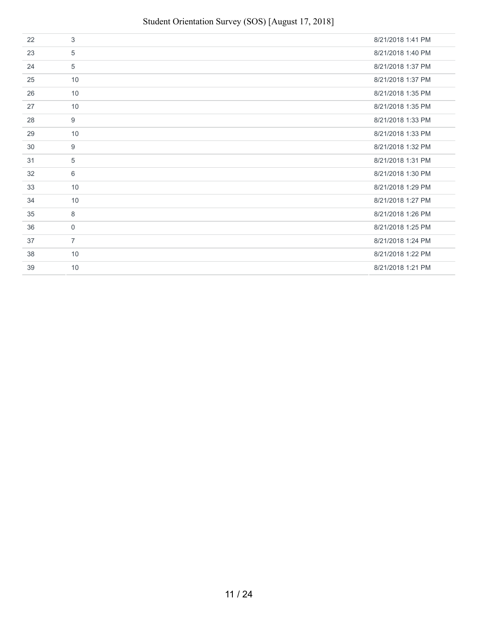| 22 | 3              | 8/21/2018 1:41 PM |
|----|----------------|-------------------|
| 23 | 5              | 8/21/2018 1:40 PM |
| 24 | 5              | 8/21/2018 1:37 PM |
| 25 | 10             | 8/21/2018 1:37 PM |
| 26 | 10             | 8/21/2018 1:35 PM |
| 27 | 10             | 8/21/2018 1:35 PM |
| 28 | 9              | 8/21/2018 1:33 PM |
| 29 | 10             | 8/21/2018 1:33 PM |
| 30 | 9              | 8/21/2018 1:32 PM |
| 31 | 5              | 8/21/2018 1:31 PM |
| 32 | 6              | 8/21/2018 1:30 PM |
| 33 | 10             | 8/21/2018 1:29 PM |
| 34 | 10             | 8/21/2018 1:27 PM |
| 35 | 8              | 8/21/2018 1:26 PM |
| 36 | $\mathbf 0$    | 8/21/2018 1:25 PM |
| 37 | $\overline{7}$ | 8/21/2018 1:24 PM |
| 38 | 10             | 8/21/2018 1:22 PM |
| 39 | 10             | 8/21/2018 1:21 PM |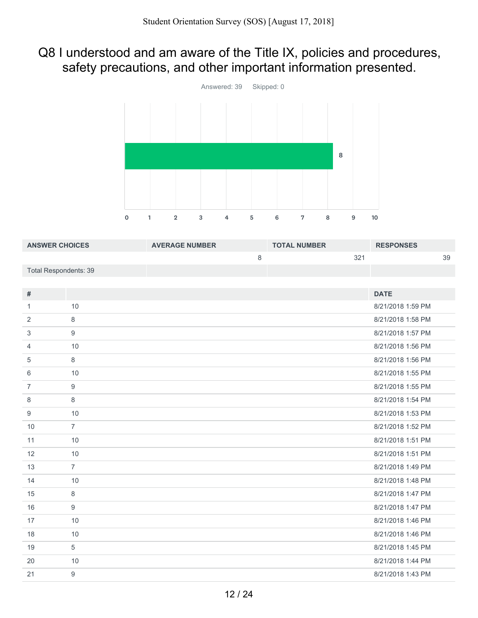## Q8 I understood and am aware of the Title IX, policies and procedures, safety precautions, and other important information presented.



| <b>ANSWER CHOICES</b>        |                | <b>AVERAGE NUMBER</b> |         | <b>TOTAL NUMBER</b> |     | <b>RESPONSES</b>  |    |
|------------------------------|----------------|-----------------------|---------|---------------------|-----|-------------------|----|
|                              |                |                       | $\,8\,$ |                     | 321 |                   | 39 |
| <b>Total Respondents: 39</b> |                |                       |         |                     |     |                   |    |
|                              |                |                       |         |                     |     |                   |    |
| #                            |                |                       |         |                     |     | <b>DATE</b>       |    |
| $\mathbf{1}$                 | 10             |                       |         |                     |     | 8/21/2018 1:59 PM |    |
| 2                            | 8              |                       |         |                     |     | 8/21/2018 1:58 PM |    |
| 3                            | 9              |                       |         |                     |     | 8/21/2018 1:57 PM |    |
| $\overline{4}$               | 10             |                       |         |                     |     | 8/21/2018 1:56 PM |    |
| 5                            | $\,8\,$        |                       |         |                     |     | 8/21/2018 1:56 PM |    |
| 6                            | 10             |                       |         |                     |     | 8/21/2018 1:55 PM |    |
| $\overline{7}$               | $9\,$          |                       |         |                     |     | 8/21/2018 1:55 PM |    |
| 8                            | 8              |                       |         |                     |     | 8/21/2018 1:54 PM |    |
| 9                            | 10             |                       |         |                     |     | 8/21/2018 1:53 PM |    |
| 10                           | $\overline{7}$ |                       |         |                     |     | 8/21/2018 1:52 PM |    |
| 11                           | 10             |                       |         |                     |     | 8/21/2018 1:51 PM |    |
| 12                           | 10             |                       |         |                     |     | 8/21/2018 1:51 PM |    |
| 13                           | $\overline{7}$ |                       |         |                     |     | 8/21/2018 1:49 PM |    |
| 14                           | 10             |                       |         |                     |     | 8/21/2018 1:48 PM |    |
| 15                           | 8              |                       |         |                     |     | 8/21/2018 1:47 PM |    |
| 16                           | $9\,$          |                       |         |                     |     | 8/21/2018 1:47 PM |    |
| 17                           | 10             |                       |         |                     |     | 8/21/2018 1:46 PM |    |
| 18                           | 10             |                       |         |                     |     | 8/21/2018 1:46 PM |    |
| 19                           | 5              |                       |         |                     |     | 8/21/2018 1:45 PM |    |
| 20                           | 10             |                       |         |                     |     | 8/21/2018 1:44 PM |    |
| 21                           | $9\,$          |                       |         |                     |     | 8/21/2018 1:43 PM |    |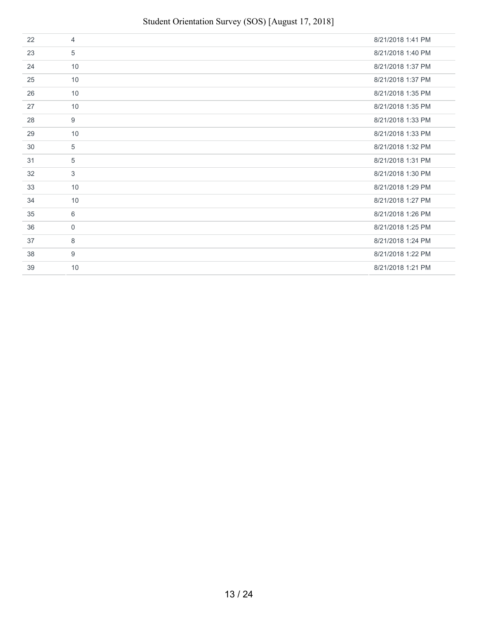| 22 | 4           | 8/21/2018 1:41 PM |
|----|-------------|-------------------|
| 23 | 5           | 8/21/2018 1:40 PM |
| 24 | 10          | 8/21/2018 1:37 PM |
| 25 | 10          | 8/21/2018 1:37 PM |
| 26 | 10          | 8/21/2018 1:35 PM |
| 27 | 10          | 8/21/2018 1:35 PM |
| 28 | 9           | 8/21/2018 1:33 PM |
| 29 | 10          | 8/21/2018 1:33 PM |
| 30 | 5           | 8/21/2018 1:32 PM |
| 31 | 5           | 8/21/2018 1:31 PM |
| 32 | 3           | 8/21/2018 1:30 PM |
| 33 | 10          | 8/21/2018 1:29 PM |
| 34 | 10          | 8/21/2018 1:27 PM |
| 35 | 6           | 8/21/2018 1:26 PM |
| 36 | $\mathbf 0$ | 8/21/2018 1:25 PM |
| 37 | 8           | 8/21/2018 1:24 PM |
| 38 | 9           | 8/21/2018 1:22 PM |
| 39 | 10          | 8/21/2018 1:21 PM |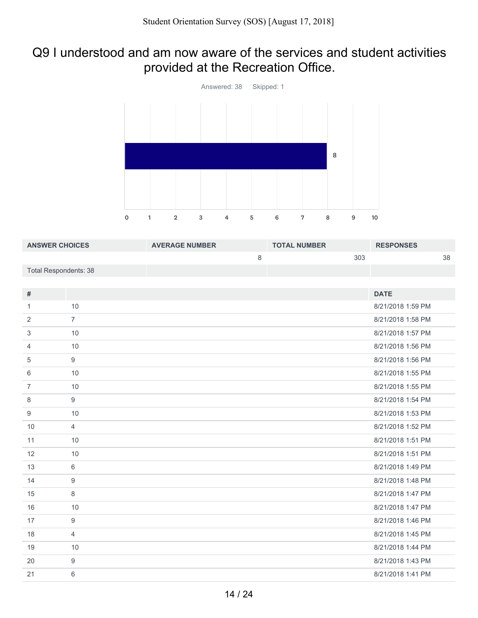### Q9 I understood and am now aware of the services and student activities provided at the Recreation Office.



| <b>ANSWER CHOICES</b>        |                  | <b>AVERAGE NUMBER</b> |   | <b>TOTAL NUMBER</b> |     | <b>RESPONSES</b>  |    |
|------------------------------|------------------|-----------------------|---|---------------------|-----|-------------------|----|
|                              |                  |                       | 8 |                     | 303 |                   | 38 |
| <b>Total Respondents: 38</b> |                  |                       |   |                     |     |                   |    |
|                              |                  |                       |   |                     |     |                   |    |
| #                            |                  |                       |   |                     |     | <b>DATE</b>       |    |
| $\mathbf{1}$                 | 10               |                       |   |                     |     | 8/21/2018 1:59 PM |    |
| 2                            | $\overline{7}$   |                       |   |                     |     | 8/21/2018 1:58 PM |    |
| 3                            | 10               |                       |   |                     |     | 8/21/2018 1:57 PM |    |
| 4                            | 10               |                       |   |                     |     | 8/21/2018 1:56 PM |    |
| 5                            | $\overline{9}$   |                       |   |                     |     | 8/21/2018 1:56 PM |    |
| 6                            | 10               |                       |   |                     |     | 8/21/2018 1:55 PM |    |
| $\overline{7}$               | 10               |                       |   |                     |     | 8/21/2018 1:55 PM |    |
| 8                            | $9\,$            |                       |   |                     |     | 8/21/2018 1:54 PM |    |
| 9                            | 10               |                       |   |                     |     | 8/21/2018 1:53 PM |    |
| 10                           | $\overline{4}$   |                       |   |                     |     | 8/21/2018 1:52 PM |    |
| 11                           | 10               |                       |   |                     |     | 8/21/2018 1:51 PM |    |
| 12                           | 10               |                       |   |                     |     | 8/21/2018 1:51 PM |    |
| 13                           | 6                |                       |   |                     |     | 8/21/2018 1:49 PM |    |
| 14                           | 9                |                       |   |                     |     | 8/21/2018 1:48 PM |    |
| 15                           | 8                |                       |   |                     |     | 8/21/2018 1:47 PM |    |
| 16                           | 10               |                       |   |                     |     | 8/21/2018 1:47 PM |    |
| 17                           | $9\,$            |                       |   |                     |     | 8/21/2018 1:46 PM |    |
| 18                           | $\overline{4}$   |                       |   |                     |     | 8/21/2018 1:45 PM |    |
| 19                           | 10               |                       |   |                     |     | 8/21/2018 1:44 PM |    |
| 20                           | $\boldsymbol{9}$ |                       |   |                     |     | 8/21/2018 1:43 PM |    |
| 21                           | 6                |                       |   |                     |     | 8/21/2018 1:41 PM |    |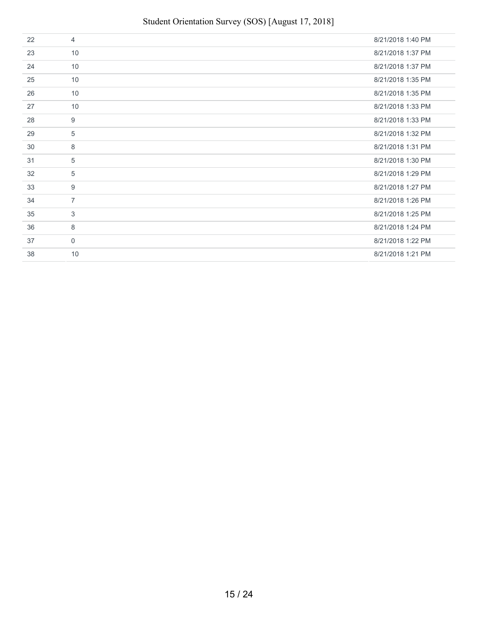| 22 | $\overline{4}$ | 8/21/2018 1:40 PM |
|----|----------------|-------------------|
| 23 | 10             | 8/21/2018 1:37 PM |
| 24 | 10             | 8/21/2018 1:37 PM |
| 25 | 10             | 8/21/2018 1:35 PM |
| 26 | 10             | 8/21/2018 1:35 PM |
| 27 | 10             | 8/21/2018 1:33 PM |
| 28 | 9              | 8/21/2018 1:33 PM |
| 29 | 5              | 8/21/2018 1:32 PM |
| 30 | 8              | 8/21/2018 1:31 PM |
| 31 | 5              | 8/21/2018 1:30 PM |
| 32 | 5              | 8/21/2018 1:29 PM |
| 33 | 9              | 8/21/2018 1:27 PM |
| 34 | $\overline{7}$ | 8/21/2018 1:26 PM |
| 35 | 3              | 8/21/2018 1:25 PM |
| 36 | 8              | 8/21/2018 1:24 PM |
| 37 | $\mathbf 0$    | 8/21/2018 1:22 PM |
| 38 | 10             | 8/21/2018 1:21 PM |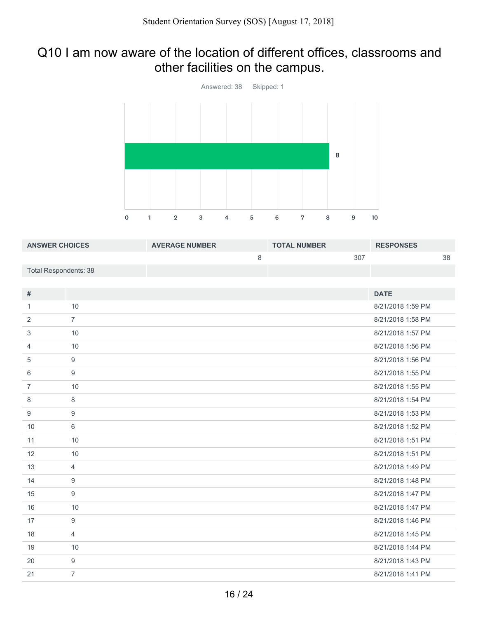### Q10 I am now aware of the location of different offices, classrooms and other facilities on the campus.



| <b>ANSWER CHOICES</b>        |                  | <b>AVERAGE NUMBER</b> |         | <b>TOTAL NUMBER</b> |     | <b>RESPONSES</b>  |    |
|------------------------------|------------------|-----------------------|---------|---------------------|-----|-------------------|----|
|                              |                  |                       | $\,8\,$ |                     | 307 |                   | 38 |
| <b>Total Respondents: 38</b> |                  |                       |         |                     |     |                   |    |
|                              |                  |                       |         |                     |     |                   |    |
| #                            |                  |                       |         |                     |     | <b>DATE</b>       |    |
| $\mathbf{1}$                 | 10               |                       |         |                     |     | 8/21/2018 1:59 PM |    |
| $\overline{2}$               | $\overline{7}$   |                       |         |                     |     | 8/21/2018 1:58 PM |    |
| 3                            | 10               |                       |         |                     |     | 8/21/2018 1:57 PM |    |
| $\overline{4}$               | 10               |                       |         |                     |     | 8/21/2018 1:56 PM |    |
| 5                            | $\boldsymbol{9}$ |                       |         |                     |     | 8/21/2018 1:56 PM |    |
| 6                            | 9                |                       |         |                     |     | 8/21/2018 1:55 PM |    |
| $\overline{7}$               | 10               |                       |         |                     |     | 8/21/2018 1:55 PM |    |
| 8                            | $\,8\,$          |                       |         |                     |     | 8/21/2018 1:54 PM |    |
| 9                            | $\boldsymbol{9}$ |                       |         |                     |     | 8/21/2018 1:53 PM |    |
| 10                           | $\,6\,$          |                       |         |                     |     | 8/21/2018 1:52 PM |    |
| 11                           | 10               |                       |         |                     |     | 8/21/2018 1:51 PM |    |
| 12                           | 10               |                       |         |                     |     | 8/21/2018 1:51 PM |    |
| 13                           | $\overline{4}$   |                       |         |                     |     | 8/21/2018 1:49 PM |    |
| 14                           | 9                |                       |         |                     |     | 8/21/2018 1:48 PM |    |
| 15                           | 9                |                       |         |                     |     | 8/21/2018 1:47 PM |    |
| 16                           | 10               |                       |         |                     |     | 8/21/2018 1:47 PM |    |
| 17                           | $\boldsymbol{9}$ |                       |         |                     |     | 8/21/2018 1:46 PM |    |
| 18                           | $\overline{4}$   |                       |         |                     |     | 8/21/2018 1:45 PM |    |
| 19                           | 10               |                       |         |                     |     | 8/21/2018 1:44 PM |    |
| 20                           | $9\,$            |                       |         |                     |     | 8/21/2018 1:43 PM |    |
| 21                           | $\overline{7}$   |                       |         |                     |     | 8/21/2018 1:41 PM |    |
|                              |                  |                       |         |                     |     |                   |    |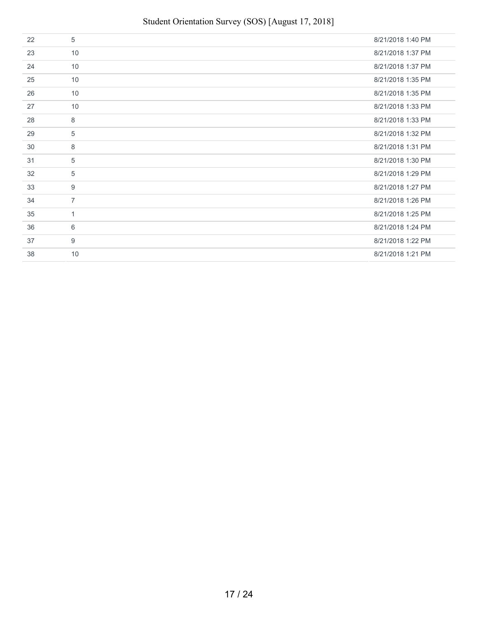| 22 | 5              | 8/21/2018 1:40 PM |
|----|----------------|-------------------|
| 23 | 10             | 8/21/2018 1:37 PM |
| 24 | 10             | 8/21/2018 1:37 PM |
| 25 | 10             | 8/21/2018 1:35 PM |
| 26 | 10             | 8/21/2018 1:35 PM |
| 27 | 10             | 8/21/2018 1:33 PM |
| 28 | 8              | 8/21/2018 1:33 PM |
| 29 | 5              | 8/21/2018 1:32 PM |
| 30 | 8              | 8/21/2018 1:31 PM |
| 31 | 5              | 8/21/2018 1:30 PM |
| 32 | 5              | 8/21/2018 1:29 PM |
| 33 | 9              | 8/21/2018 1:27 PM |
| 34 | $\overline{7}$ | 8/21/2018 1:26 PM |
| 35 | 1              | 8/21/2018 1:25 PM |
| 36 | 6              | 8/21/2018 1:24 PM |
| 37 | 9              | 8/21/2018 1:22 PM |
| 38 | 10             | 8/21/2018 1:21 PM |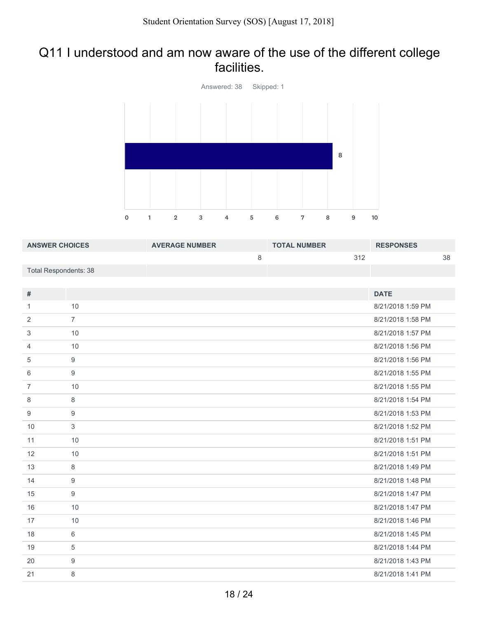#### Q11 I understood and am now aware of the use of the different college facilities.



| <b>ANSWER CHOICES</b>        |                  | <b>AVERAGE NUMBER</b> |         | <b>TOTAL NUMBER</b> |     | <b>RESPONSES</b>  |    |
|------------------------------|------------------|-----------------------|---------|---------------------|-----|-------------------|----|
|                              |                  |                       | $\,8\,$ |                     | 312 |                   | 38 |
| <b>Total Respondents: 38</b> |                  |                       |         |                     |     |                   |    |
|                              |                  |                       |         |                     |     |                   |    |
| #                            |                  |                       |         |                     |     | <b>DATE</b>       |    |
| $\mathbf{1}$                 | 10               |                       |         |                     |     | 8/21/2018 1:59 PM |    |
| $\overline{2}$               | $\overline{7}$   |                       |         |                     |     | 8/21/2018 1:58 PM |    |
| 3                            | 10               |                       |         |                     |     | 8/21/2018 1:57 PM |    |
| 4                            | 10               |                       |         |                     |     | 8/21/2018 1:56 PM |    |
| 5                            | $9\,$            |                       |         |                     |     | 8/21/2018 1:56 PM |    |
| 6                            | 9                |                       |         |                     |     | 8/21/2018 1:55 PM |    |
| $\overline{7}$               | 10               |                       |         |                     |     | 8/21/2018 1:55 PM |    |
| 8                            | $\,8\,$          |                       |         |                     |     | 8/21/2018 1:54 PM |    |
| 9                            | $\boldsymbol{9}$ |                       |         |                     |     | 8/21/2018 1:53 PM |    |
| 10                           | 3                |                       |         |                     |     | 8/21/2018 1:52 PM |    |
| 11                           | 10               |                       |         |                     |     | 8/21/2018 1:51 PM |    |
| 12                           | 10               |                       |         |                     |     | 8/21/2018 1:51 PM |    |
| 13                           | $\,8\,$          |                       |         |                     |     | 8/21/2018 1:49 PM |    |
| 14                           | $\boldsymbol{9}$ |                       |         |                     |     | 8/21/2018 1:48 PM |    |
| 15                           | $\boldsymbol{9}$ |                       |         |                     |     | 8/21/2018 1:47 PM |    |
| 16                           | 10               |                       |         |                     |     | 8/21/2018 1:47 PM |    |
| 17                           | 10               |                       |         |                     |     | 8/21/2018 1:46 PM |    |
| 18                           | $6\,$            |                       |         |                     |     | 8/21/2018 1:45 PM |    |
| 19                           | $\sqrt{5}$       |                       |         |                     |     | 8/21/2018 1:44 PM |    |
| 20                           | $\boldsymbol{9}$ |                       |         |                     |     | 8/21/2018 1:43 PM |    |
| 21                           | $\,8\,$          |                       |         |                     |     | 8/21/2018 1:41 PM |    |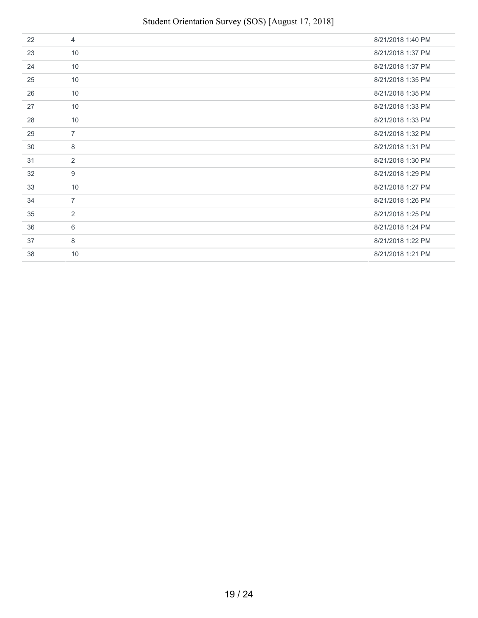| 22 | $\overline{4}$ | 8/21/2018 1:40 PM |
|----|----------------|-------------------|
| 23 | 10             | 8/21/2018 1:37 PM |
| 24 | 10             | 8/21/2018 1:37 PM |
| 25 | 10             | 8/21/2018 1:35 PM |
| 26 | 10             | 8/21/2018 1:35 PM |
| 27 | 10             | 8/21/2018 1:33 PM |
| 28 | 10             | 8/21/2018 1:33 PM |
| 29 | $\overline{7}$ | 8/21/2018 1:32 PM |
| 30 | 8              | 8/21/2018 1:31 PM |
| 31 | 2              | 8/21/2018 1:30 PM |
| 32 | 9              | 8/21/2018 1:29 PM |
| 33 | 10             | 8/21/2018 1:27 PM |
| 34 | $\overline{7}$ | 8/21/2018 1:26 PM |
| 35 | 2              | 8/21/2018 1:25 PM |
| 36 | 6              | 8/21/2018 1:24 PM |
| 37 | 8              | 8/21/2018 1:22 PM |
| 38 | 10             | 8/21/2018 1:21 PM |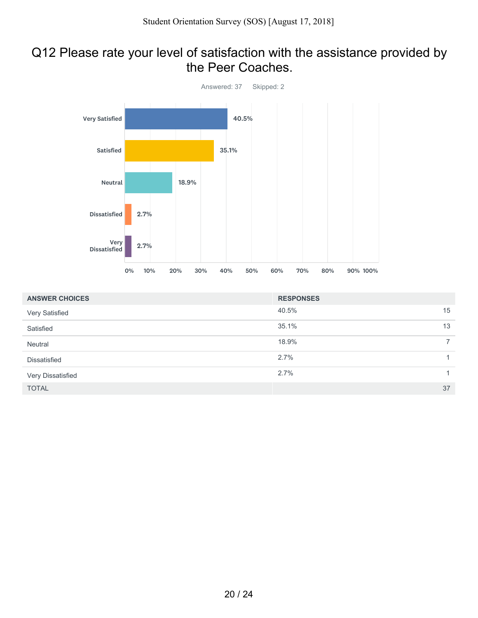#### Q12 Please rate your level of satisfaction with the assistance provided by the Peer Coaches.



| <b>ANSWER CHOICES</b> | <b>RESPONSES</b> |              |
|-----------------------|------------------|--------------|
| Very Satisfied        | 40.5%            | 15           |
| Satisfied             | 35.1%            | 13           |
| Neutral               | 18.9%            | $7^{\circ}$  |
| Dissatisfied          | 2.7%             | 1            |
| Very Dissatisfied     | 2.7%             | $\mathbf{1}$ |
| <b>TOTAL</b>          |                  | 37           |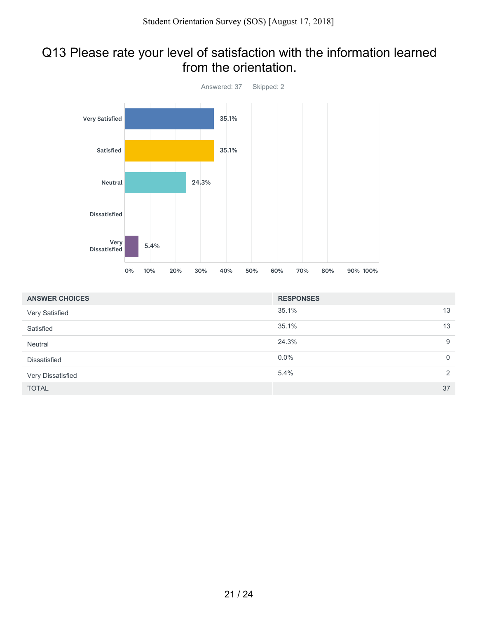#### Q13 Please rate your level of satisfaction with the information learned from the orientation.



| <b>ANSWER CHOICES</b> | <b>RESPONSES</b> |             |
|-----------------------|------------------|-------------|
| Very Satisfied        | 35.1%            | 13          |
| Satisfied             | 35.1%            | 13          |
| Neutral               | 24.3%            | 9           |
| <b>Dissatisfied</b>   | $0.0\%$          | $\mathbf 0$ |
| Very Dissatisfied     | 5.4%             | 2           |
| <b>TOTAL</b>          |                  | 37          |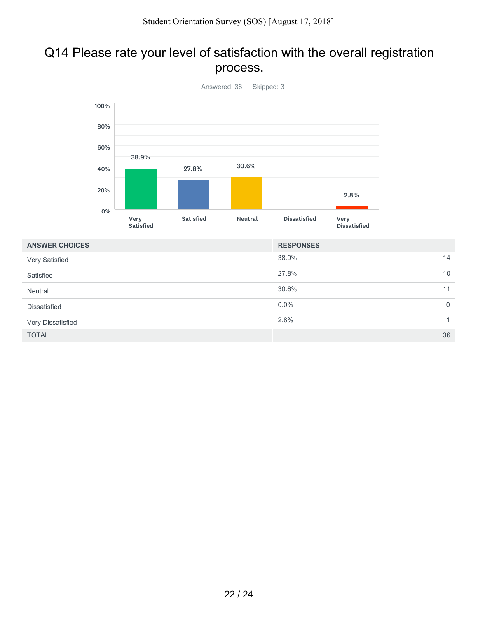### Q14 Please rate your level of satisfaction with the overall registration process.



| <b>ANSWER CHOICES</b> | <b>RESPONSES</b> |              |
|-----------------------|------------------|--------------|
| Very Satisfied        | 38.9%            | 14           |
| Satisfied             | 27.8%            | 10           |
| Neutral               | 30.6%            | 11           |
| <b>Dissatisfied</b>   | $0.0\%$          | $\mathbf 0$  |
| Very Dissatisfied     | 2.8%             | $\mathbf{1}$ |
| <b>TOTAL</b>          |                  | 36           |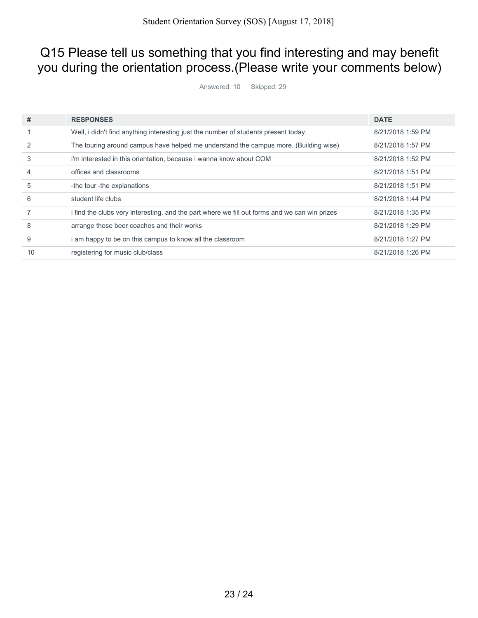## Q15 Please tell us something that you find interesting and may benefit you during the orientation process.(Please write your comments below)

Answered: 10 Skipped: 29

| #  | <b>RESPONSES</b>                                                                              | <b>DATE</b>       |
|----|-----------------------------------------------------------------------------------------------|-------------------|
|    | Well, i didn't find anything interesting just the number of students present today.           | 8/21/2018 1:59 PM |
|    | The touring around campus have helped me understand the campus more. (Building wise)          | 8/21/2018 1:57 PM |
| 3  | i'm interested in this orientation, because i wanna know about COM                            | 8/21/2018 1:52 PM |
|    | offices and classrooms                                                                        | 8/21/2018 1:51 PM |
| 5  | -the tour -the explanations                                                                   | 8/21/2018 1:51 PM |
| 6  | student life clubs                                                                            | 8/21/2018 1:44 PM |
|    | i find the clubs very interesting, and the part where we fill out forms and we can win prizes | 8/21/2018 1:35 PM |
| 8  | arrange those beer coaches and their works                                                    | 8/21/2018 1:29 PM |
| 9  | i am happy to be on this campus to know all the classroom                                     | 8/21/2018 1:27 PM |
| 10 | registering for music club/class                                                              | 8/21/2018 1:26 PM |
|    |                                                                                               |                   |